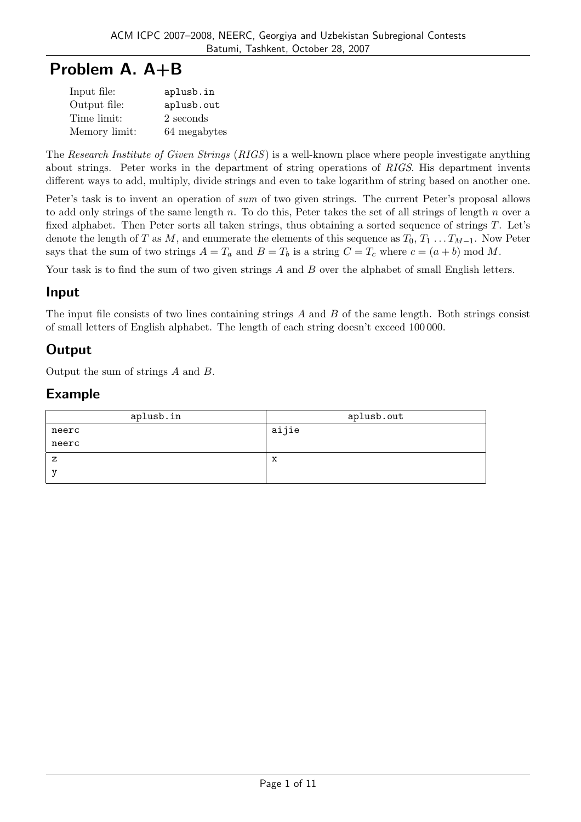# Problem A. A+B

| Input file:   | aplusb.in    |
|---------------|--------------|
| Output file:  | aplusb.out   |
| Time limit:   | 2 seconds    |
| Memory limit: | 64 megabytes |

The Research Institute of Given Strings (RIGS) is a well-known place where people investigate anything about strings. Peter works in the department of string operations of RIGS. His department invents different ways to add, multiply, divide strings and even to take logarithm of string based on another one.

Peter's task is to invent an operation of sum of two given strings. The current Peter's proposal allows to add only strings of the same length n. To do this, Peter takes the set of all strings of length n over a fixed alphabet. Then Peter sorts all taken strings, thus obtaining a sorted sequence of strings T. Let's denote the length of T as M, and enumerate the elements of this sequence as  $T_0, T_1 \ldots T_{M-1}$ . Now Peter says that the sum of two strings  $A = T_a$  and  $B = T_b$  is a string  $C = T_c$  where  $c = (a + b) \mod M$ .

Your task is to find the sum of two given strings  $A$  and  $B$  over the alphabet of small English letters.

## Input

The input file consists of two lines containing strings  $A$  and  $B$  of the same length. Both strings consist of small letters of English alphabet. The length of each string doesn't exceed 100 000.

# **Output**

Output the sum of strings A and B.

| aplusb.in | aplusb.out |
|-----------|------------|
| neerc     | aijie      |
| neerc     |            |
| z         | X          |
| ٦7        |            |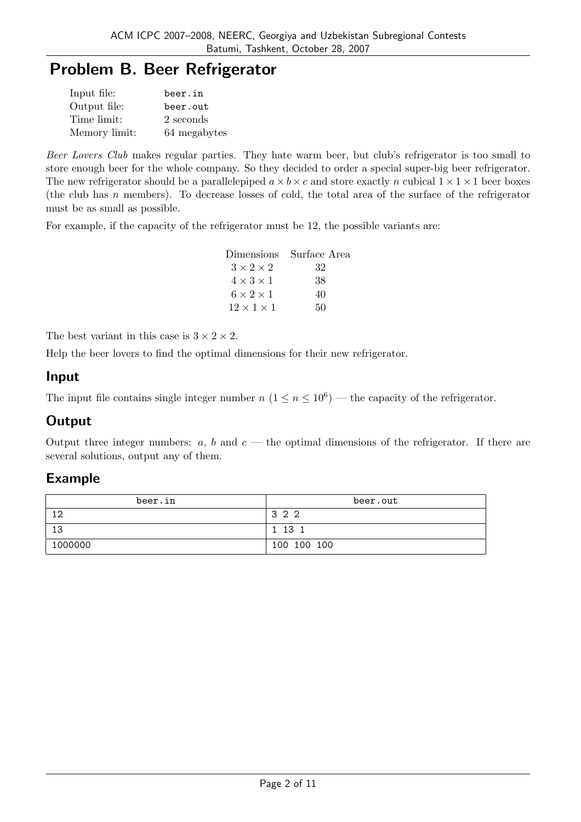# Problem B. Beer Refrigerator

| Input file:   | beer.in      |
|---------------|--------------|
| Output file:  | beer.out     |
| Time limit:   | 2 seconds    |
| Memory limit: | 64 megabytes |

Beer Lovers Club makes regular parties. They hate warm beer, but club's refrigerator is too small to store enough beer for the whole company. So they decided to order a special super-big beer refrigerator. The new refrigerator should be a parallelepiped  $a \times b \times c$  and store exactly n cubical  $1 \times 1 \times 1$  beer boxes (the club has n members). To decrease losses of cold, the total area of the surface of the refrigerator must be as small as possible.

For example, if the capacity of the refrigerator must be 12, the possible variants are:

| Dimensions             | Surface Area |
|------------------------|--------------|
| $3 \times 2 \times 2$  | 32           |
| $4 \times 3 \times 1$  | 38           |
| $6 \times 2 \times 1$  | 40           |
| $12 \times 1 \times 1$ | 50           |

The best variant in this case is  $3 \times 2 \times 2$ .

Help the beer lovers to find the optimal dimensions for their new refrigerator.

#### Input

The input file contains single integer number  $n (1 \le n \le 10^6)$  — the capacity of the refrigerator.

### **Output**

Output three integer numbers:  $a, b$  and  $c$  — the optimal dimensions of the refrigerator. If there are several solutions, output any of them.

| beer.in | beer.out    |
|---------|-------------|
| 12      | 322         |
| 13      | 1 13 1      |
| 1000000 | 100 100 100 |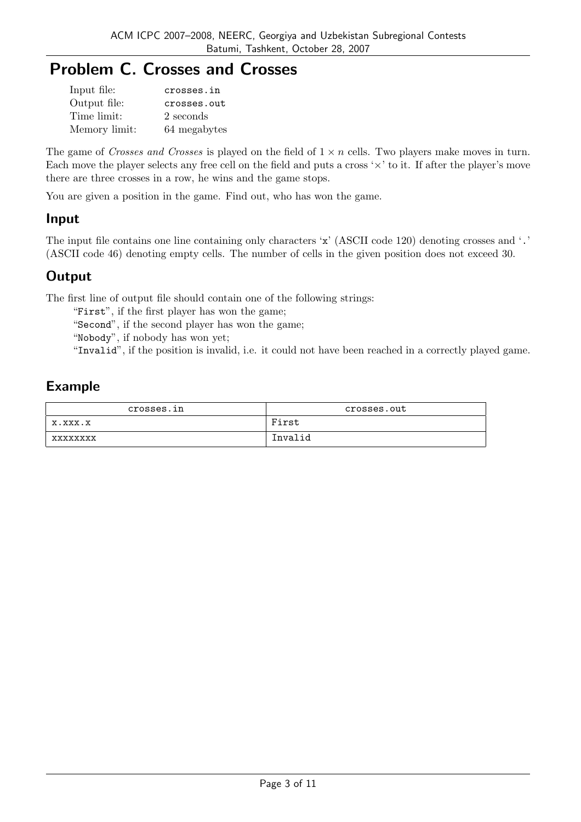# Problem C. Crosses and Crosses

| Input file:   | crosses.in   |
|---------------|--------------|
| Output file:  | crosses.out  |
| Time limit:   | 2 seconds    |
| Memory limit: | 64 megabytes |

The game of Crosses and Crosses is played on the field of  $1 \times n$  cells. Two players make moves in turn. Each move the player selects any free cell on the field and puts a cross  $\forall x$  to it. If after the player's move there are three crosses in a row, he wins and the game stops.

You are given a position in the game. Find out, who has won the game.

### Input

The input file contains one line containing only characters 'x' (ASCII code 120) denoting crosses and '.' (ASCII code 46) denoting empty cells. The number of cells in the given position does not exceed 30.

# **Output**

The first line of output file should contain one of the following strings:

"First", if the first player has won the game;

"Second", if the second player has won the game;

"Nobody", if nobody has won yet;

"Invalid", if the position is invalid, i.e. it could not have been reached in a correctly played game.

| crosses.in      | crosses.out |
|-----------------|-------------|
| X.XXX.X         | First       |
| <b>xxxxxxxx</b> | Invalid     |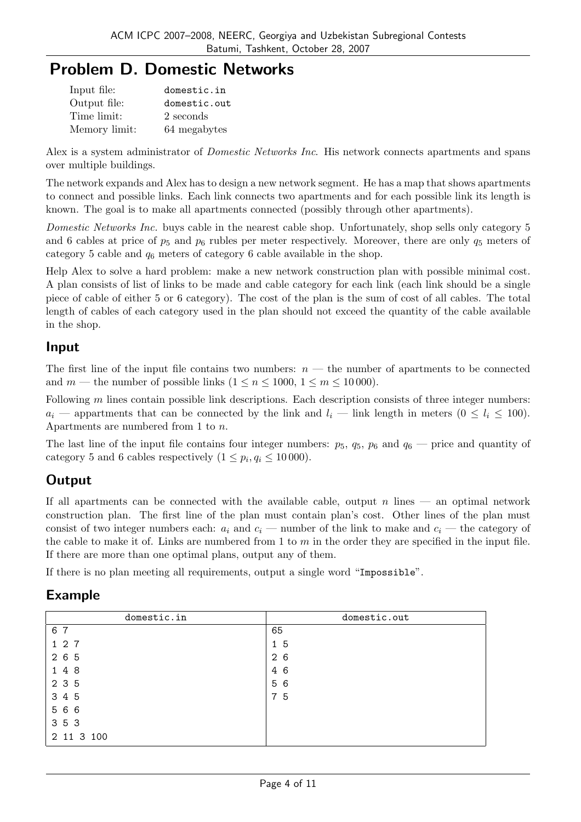# Problem D. Domestic Networks

| Input file:   | domestic.in  |
|---------------|--------------|
| Output file:  | domestic.out |
| Time limit:   | 2 seconds    |
| Memory limit: | 64 megabytes |

Alex is a system administrator of *Domestic Networks Inc.* His network connects apartments and spans over multiple buildings.

The network expands and Alex has to design a new network segment. He has a map that shows apartments to connect and possible links. Each link connects two apartments and for each possible link its length is known. The goal is to make all apartments connected (possibly through other apartments).

Domestic Networks Inc. buys cable in the nearest cable shop. Unfortunately, shop sells only category 5 and 6 cables at price of  $p_5$  and  $p_6$  rubles per meter respectively. Moreover, there are only  $q_5$  meters of category 5 cable and  $q_6$  meters of category 6 cable available in the shop.

Help Alex to solve a hard problem: make a new network construction plan with possible minimal cost. A plan consists of list of links to be made and cable category for each link (each link should be a single piece of cable of either 5 or 6 category). The cost of the plan is the sum of cost of all cables. The total length of cables of each category used in the plan should not exceed the quantity of the cable available in the shop.

## Input

The first line of the input file contains two numbers:  $n$  — the number of apartments to be connected and m — the number of possible links  $(1 \le n \le 1000, 1 \le m \le 10000)$ .

Following  $m$  lines contain possible link descriptions. Each description consists of three integer numbers:  $a_i$  — appartments that can be connected by the link and  $l_i$  — link length in meters  $(0 \le l_i \le 100)$ . Apartments are numbered from 1 to n.

The last line of the input file contains four integer numbers:  $p_5$ ,  $q_5$ ,  $p_6$  and  $q_6$  — price and quantity of category 5 and 6 cables respectively  $(1 \leq p_i, q_i \leq 10000)$ .

# **Output**

If all apartments can be connected with the available cable, output  $n$  lines — an optimal network construction plan. The first line of the plan must contain plan's cost. Other lines of the plan must consist of two integer numbers each:  $a_i$  and  $c_i$  — number of the link to make and  $c_i$  — the category of the cable to make it of. Links are numbered from 1 to  $m$  in the order they are specified in the input file. If there are more than one optimal plans, output any of them.

If there is no plan meeting all requirements, output a single word "Impossible".

| domestic.in | domestic.out |
|-------------|--------------|
| 6 7         | 65           |
| 1 2 7       | 15           |
| 2 6 5       | 2 6          |
| 148         | 4 6          |
| 2 3 5       | 56           |
| 3 4 5       | 75           |
| 566         |              |
| 3 5 3       |              |
| 2 11 3 100  |              |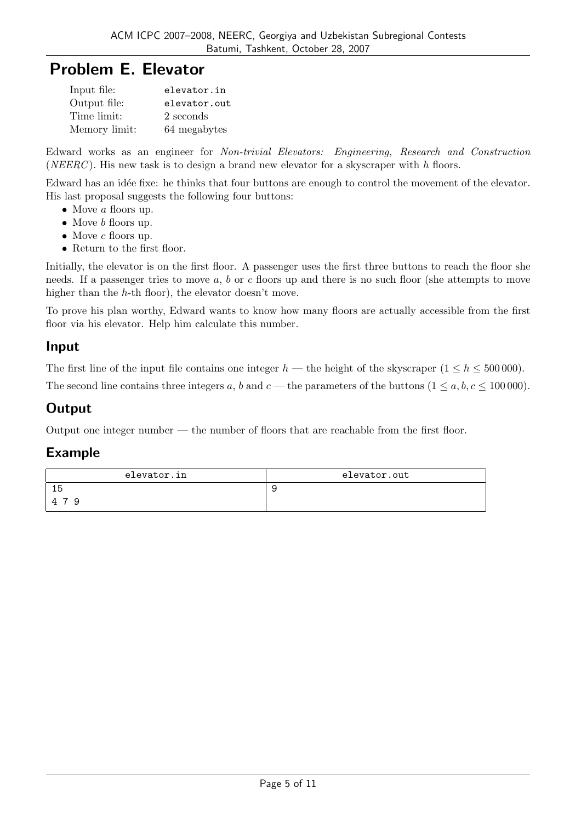# Problem E. Elevator

| Input file:   | elevator.in  |
|---------------|--------------|
| Output file:  | elevator.out |
| Time limit:   | 2 seconds    |
| Memory limit: | 64 megabytes |

Edward works as an engineer for Non-trivial Elevators: Engineering, Research and Construction (NEERC). His new task is to design a brand new elevator for a skyscraper with  $h$  floors.

Edward has an idée fixe: he thinks that four buttons are enough to control the movement of the elevator. His last proposal suggests the following four buttons:

- Move a floors up.
- Move *b* floors up.
- Move  $c$  floors up.
- Return to the first floor.

Initially, the elevator is on the first floor. A passenger uses the first three buttons to reach the floor she needs. If a passenger tries to move  $a, b$  or c floors up and there is no such floor (she attempts to move higher than the h-th floor), the elevator doesn't move.

To prove his plan worthy, Edward wants to know how many floors are actually accessible from the first floor via his elevator. Help him calculate this number.

## Input

The first line of the input file contains one integer  $h$  — the height of the skyscraper  $(1 \leq h \leq 500\,000)$ .

The second line contains three integers a, b and  $c$  — the parameters of the buttons  $(1 \le a, b, c \le 100000)$ .

# **Output**

Output one integer number — the number of floors that are reachable from the first floor.

| elevator.in   | elevator.out |
|---------------|--------------|
| 15            |              |
| $\Delta$<br>Q |              |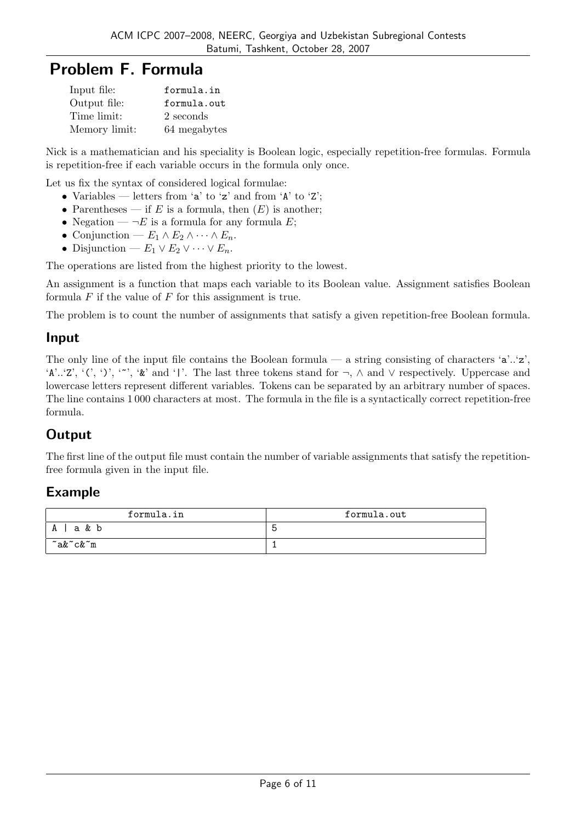# Problem F. Formula

| Input file:   | formula.in   |
|---------------|--------------|
| Output file:  | formula.out  |
| Time limit:   | 2 seconds    |
| Memory limit: | 64 megabytes |

Nick is a mathematician and his speciality is Boolean logic, especially repetition-free formulas. Formula is repetition-free if each variable occurs in the formula only once.

Let us fix the syntax of considered logical formulae:

- Variables letters from 'a' to 'z' and from 'A' to 'Z';
- Parentheses if E is a formula, then  $(E)$  is another;
- Negation  $\neg E$  is a formula for any formula E;
- Conjunction  $E_1 \wedge E_2 \wedge \cdots \wedge E_n$ .
- Disjunction  $E_1 \vee E_2 \vee \cdots \vee E_n$ .

The operations are listed from the highest priority to the lowest.

An assignment is a function that maps each variable to its Boolean value. Assignment satisfies Boolean formula  $F$  if the value of  $F$  for this assignment is true.

The problem is to count the number of assignments that satisfy a given repetition-free Boolean formula.

### Input

The only line of the input file contains the Boolean formula — a string consisting of characters 'a'..'z', 'A'..'Z', '(', ')', '~', '&' and '|'. The last three tokens stand for ¬, ∧ and ∨ respectively. Uppercase and lowercase letters represent different variables. Tokens can be separated by an arbitrary number of spaces. The line contains 1 000 characters at most. The formula in the file is a syntactically correct repetition-free formula.

# **Output**

The first line of the output file must contain the number of variable assignments that satisfy the repetitionfree formula given in the input file.

| formula.in | formula.out |  |  |
|------------|-------------|--|--|
| a & b<br>A |             |  |  |
| ~a&~c&~m   |             |  |  |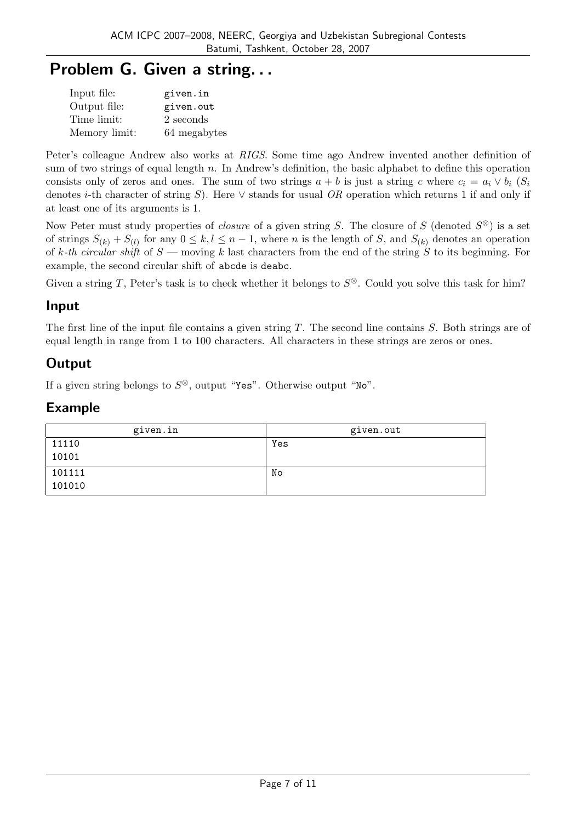# Problem G. Given a string. . .

| Input file:   | given.in     |
|---------------|--------------|
| Output file:  | given.out    |
| Time limit:   | 2 seconds    |
| Memory limit: | 64 megabytes |

Peter's colleague Andrew also works at RIGS. Some time ago Andrew invented another definition of sum of two strings of equal length  $n$ . In Andrew's definition, the basic alphabet to define this operation consists only of zeros and ones. The sum of two strings  $a + b$  is just a string c where  $c_i = a_i \vee b_i$  (S<sub>i</sub> denotes i-th character of string S). Here  $\vee$  stands for usual OR operation which returns 1 if and only if at least one of its arguments is 1.

Now Peter must study properties of *closure* of a given string S. The closure of S (denoted  $S^{\otimes}$ ) is a set of strings  $S_{(k)} + S_{(l)}$  for any  $0 \leq k, l \leq n-1$ , where n is the length of S, and  $S_{(k)}$  denotes an operation of k-th circular shift of  $S$  — moving k last characters from the end of the string S to its beginning. For example, the second circular shift of abcde is deabc.

Given a string T, Peter's task is to check whether it belongs to  $S^{\otimes}$ . Could you solve this task for him?

### Input

The first line of the input file contains a given string T. The second line contains S. Both strings are of equal length in range from 1 to 100 characters. All characters in these strings are zeros or ones.

# **Output**

If a given string belongs to  $S^{\otimes}$ , output "Yes". Otherwise output "No".

| given.in | given.out |
|----------|-----------|
| 11110    | Yes       |
| 10101    |           |
| 101111   | No        |
| 101010   |           |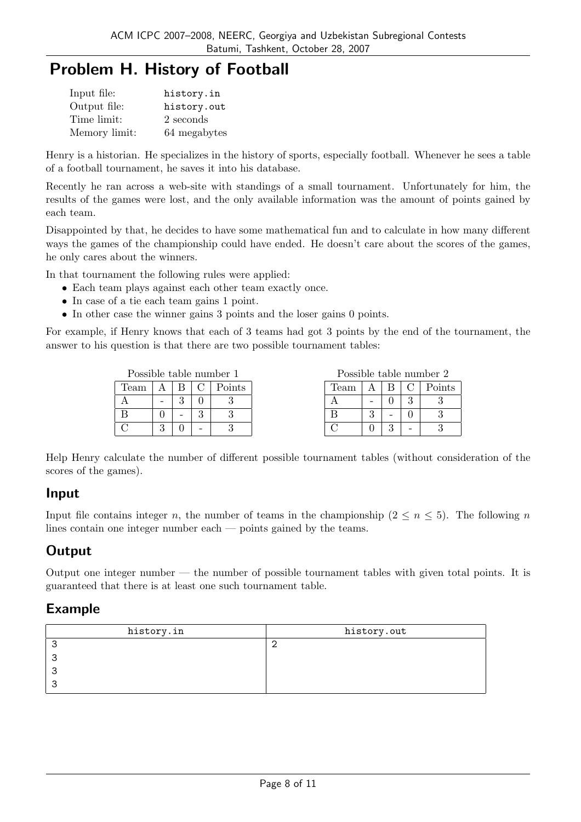# Problem H. History of Football

| Input file:   | history.in   |
|---------------|--------------|
| Output file:  | history.out  |
| Time limit:   | 2 seconds    |
| Memory limit: | 64 megabytes |

Henry is a historian. He specializes in the history of sports, especially football. Whenever he sees a table of a football tournament, he saves it into his database.

Recently he ran across a web-site with standings of a small tournament. Unfortunately for him, the results of the games were lost, and the only available information was the amount of points gained by each team.

Disappointed by that, he decides to have some mathematical fun and to calculate in how many different ways the games of the championship could have ended. He doesn't care about the scores of the games, he only cares about the winners.

In that tournament the following rules were applied:

- Each team plays against each other team exactly once.
- In case of a tie each team gains 1 point.
- In other case the winner gains 3 points and the loser gains 0 points.

For example, if Henry knows that each of 3 teams had got 3 points by the end of the tournament, the answer to his question is that there are two possible tournament tables:

|      |   |   | Possible table number 1 |      |   |   |   | Possible table number 2 |
|------|---|---|-------------------------|------|---|---|---|-------------------------|
| Team |   |   | Points                  | Team |   |   |   | Points                  |
|      | - | ົ |                         |      |   |   | റ |                         |
|      |   |   |                         |      | ച | - |   |                         |
|      | ິ |   |                         |      |   | ച | - |                         |

Help Henry calculate the number of different possible tournament tables (without consideration of the scores of the games).

### Input

Input file contains integer n, the number of teams in the championship ( $2 \le n \le 5$ ). The following n lines contain one integer number each — points gained by the teams.

# **Output**

Output one integer number  $-$  the number of possible tournament tables with given total points. It is guaranteed that there is at least one such tournament table.

| history.in | history.out |  |  |
|------------|-------------|--|--|
|            |             |  |  |
|            |             |  |  |
|            |             |  |  |
|            |             |  |  |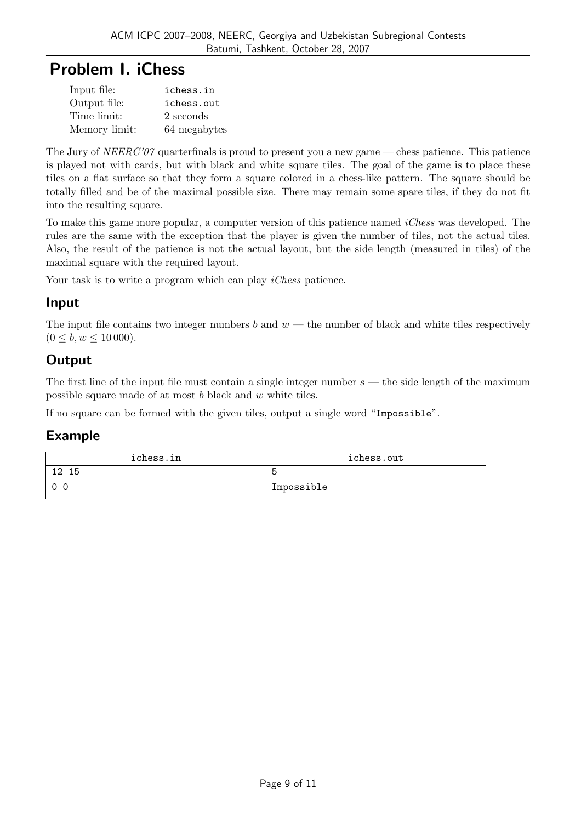# Problem I. iChess

| Input file:   | ichess.in    |
|---------------|--------------|
| Output file:  | ichess.out   |
| Time limit:   | 2 seconds    |
| Memory limit: | 64 megabytes |

The Jury of  $NEERC'07$  quarterfinals is proud to present you a new game — chess patience. This patience is played not with cards, but with black and white square tiles. The goal of the game is to place these tiles on a flat surface so that they form a square colored in a chess-like pattern. The square should be totally filled and be of the maximal possible size. There may remain some spare tiles, if they do not fit into the resulting square.

To make this game more popular, a computer version of this patience named *iChess* was developed. The rules are the same with the exception that the player is given the number of tiles, not the actual tiles. Also, the result of the patience is not the actual layout, but the side length (measured in tiles) of the maximal square with the required layout.

Your task is to write a program which can play *iChess* patience.

## Input

The input file contains two integer numbers b and  $w$  — the number of black and white tiles respectively  $(0 \leq b, w \leq 10000)$ .

# **Output**

The first line of the input file must contain a single integer number  $s$  — the side length of the maximum possible square made of at most b black and w white tiles.

If no square can be formed with the given tiles, output a single word "Impossible".

| ichess.in              | ichess.out |  |  |
|------------------------|------------|--|--|
| 12 <sub>1</sub><br>-15 |            |  |  |
| $\Omega$               | Impossible |  |  |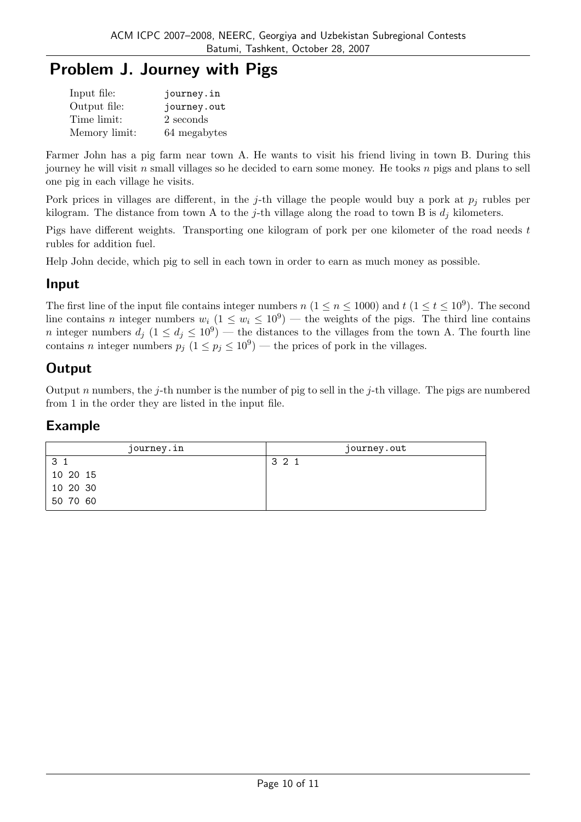# Problem J. Journey with Pigs

| Input file:   | journey.in   |
|---------------|--------------|
| Output file:  | journey.out  |
| Time limit:   | 2 seconds    |
| Memory limit: | 64 megabytes |

Farmer John has a pig farm near town A. He wants to visit his friend living in town B. During this journey he will visit  $n$  small villages so he decided to earn some money. He tooks  $n$  pigs and plans to sell one pig in each village he visits.

Pork prices in villages are different, in the j-th village the people would buy a pork at  $p_i$  rubles per kilogram. The distance from town A to the j-th village along the road to town B is  $d_i$  kilometers.

Pigs have different weights. Transporting one kilogram of pork per one kilometer of the road needs t rubles for addition fuel.

Help John decide, which pig to sell in each town in order to earn as much money as possible.

### Input

The first line of the input file contains integer numbers  $n (1 \le n \le 1000)$  and  $t (1 \le t \le 10^9)$ . The second line contains n integer numbers  $w_i$   $(1 \leq w_i \leq 10^9)$  — the weights of the pigs. The third line contains *n* integer numbers  $d_j$   $(1 \leq d_j \leq 10^9)$  — the distances to the villages from the town A. The fourth line contains *n* integer numbers  $p_j$   $(1 \le p_j \le 10^9)$  — the prices of pork in the villages.

# **Output**

Output n numbers, the j-th number is the number of pig to sell in the j-th village. The pigs are numbered from 1 in the order they are listed in the input file.

| journey.in | journey.out |  |  |
|------------|-------------|--|--|
| -3         | 3 2 1       |  |  |
| 10 20 15   |             |  |  |
| 10 20 30   |             |  |  |
| 50 70 60   |             |  |  |